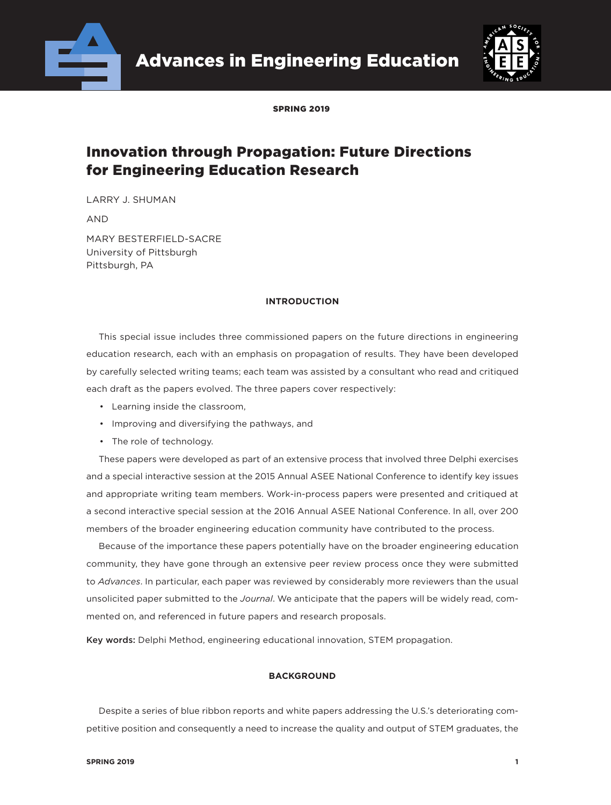

Advances in Engineering Education



SPRING 2019

# Innovation through Propagation: Future Directions for Engineering Education Research

LARRY J. SHUMAN

AND

MARY BESTERFIELD-SACRE University of Pittsburgh Pittsburgh, PA

# **INTRODUCTION**

This special issue includes three commissioned papers on the future directions in engineering education research, each with an emphasis on propagation of results. They have been developed by carefully selected writing teams; each team was assisted by a consultant who read and critiqued each draft as the papers evolved. The three papers cover respectively:

- Learning inside the classroom,
- Improving and diversifying the pathways, and
- The role of technology.

These papers were developed as part of an extensive process that involved three Delphi exercises and a special interactive session at the 2015 Annual ASEE National Conference to identify key issues and appropriate writing team members. Work-in-process papers were presented and critiqued at a second interactive special session at the 2016 Annual ASEE National Conference. In all, over 200 members of the broader engineering education community have contributed to the process.

Because of the importance these papers potentially have on the broader engineering education community, they have gone through an extensive peer review process once they were submitted to *Advances*. In particular, each paper was reviewed by considerably more reviewers than the usual unsolicited paper submitted to the *Journal*. We anticipate that the papers will be widely read, commented on, and referenced in future papers and research proposals.

Key words: Delphi Method, engineering educational innovation, STEM propagation.

# **BACKGROUND**

Despite a series of blue ribbon reports and white papers addressing the U.S.'s deteriorating competitive position and consequently a need to increase the quality and output of STEM graduates, the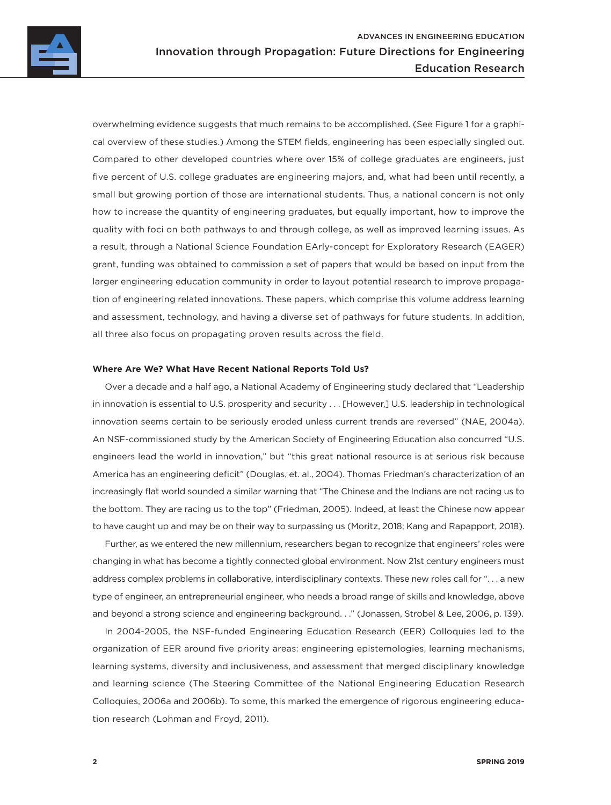

overwhelming evidence suggests that much remains to be accomplished. (See Figure 1 for a graphical overview of these studies.) Among the STEM fields, engineering has been especially singled out. Compared to other developed countries where over 15% of college graduates are engineers, just five percent of U.S. college graduates are engineering majors, and, what had been until recently, a small but growing portion of those are international students. Thus, a national concern is not only how to increase the quantity of engineering graduates, but equally important, how to improve the quality with foci on both pathways to and through college, as well as improved learning issues. As a result, through a National Science Foundation EArly-concept for Exploratory Research (EAGER) grant, funding was obtained to commission a set of papers that would be based on input from the larger engineering education community in order to layout potential research to improve propagation of engineering related innovations. These papers, which comprise this volume address learning and assessment, technology, and having a diverse set of pathways for future students. In addition, all three also focus on propagating proven results across the field.

#### **Where Are We? What Have Recent National Reports Told Us?**

Over a decade and a half ago, a National Academy of Engineering study declared that "Leadership in innovation is essential to U.S. prosperity and security . . . [However,] U.S. leadership in technological innovation seems certain to be seriously eroded unless current trends are reversed" (NAE, 2004a). An NSF-commissioned study by the American Society of Engineering Education also concurred "U.S. engineers lead the world in innovation," but "this great national resource is at serious risk because America has an engineering deficit" (Douglas, et. al., 2004). Thomas Friedman's characterization of an increasingly flat world sounded a similar warning that "The Chinese and the Indians are not racing us to the bottom. They are racing us to the top" (Friedman, 2005). Indeed, at least the Chinese now appear to have caught up and may be on their way to surpassing us (Moritz, 2018; Kang and Rapapport, 2018).

Further, as we entered the new millennium, researchers began to recognize that engineers' roles were changing in what has become a tightly connected global environment. Now 21st century engineers must address complex problems in collaborative, interdisciplinary contexts. These new roles call for ". . . a new type of engineer, an entrepreneurial engineer, who needs a broad range of skills and knowledge, above and beyond a strong science and engineering background. . ." (Jonassen, Strobel & Lee, 2006, p. 139).

In 2004-2005, the NSF-funded Engineering Education Research (EER) Colloquies led to the organization of EER around five priority areas: engineering epistemologies, learning mechanisms, learning systems, diversity and inclusiveness, and assessment that merged disciplinary knowledge and learning science (The Steering Committee of the National Engineering Education Research Colloquies, 2006a and 2006b). To some, this marked the emergence of rigorous engineering education research (Lohman and Froyd, 2011).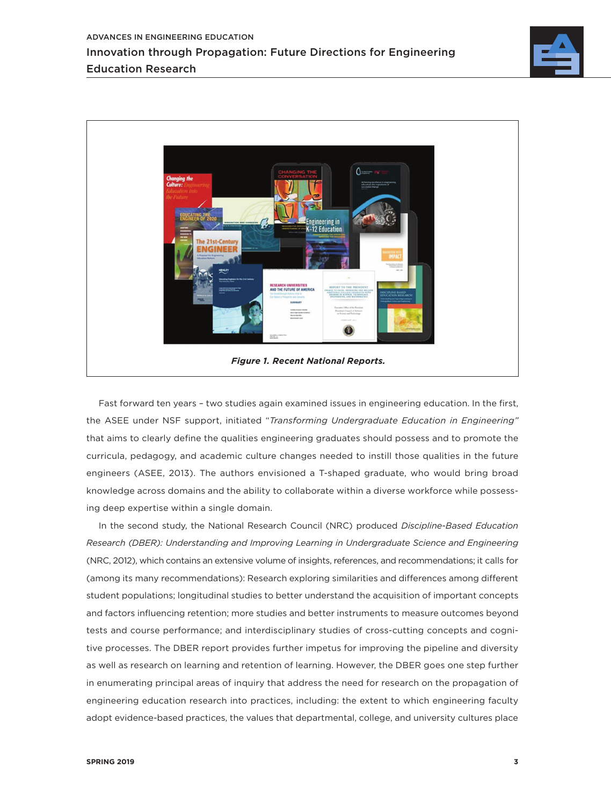



Fast forward ten years – two studies again examined issues in engineering education. In the first, the ASEE under NSF support, initiated "*Transforming Undergraduate Education in Engineering"*  that aims to clearly define the qualities engineering graduates should possess and to promote the curricula, pedagogy, and academic culture changes needed to instill those qualities in the future engineers (ASEE, 2013). The authors envisioned a T-shaped graduate, who would bring broad knowledge across domains and the ability to collaborate within a diverse workforce while possessing deep expertise within a single domain.

In the second study, the National Research Council (NRC) produced *Discipline-Based Education Research (DBER): Understanding and Improving Learning in Undergraduate Science and Engineering* (NRC, 2012), which contains an extensive volume of insights, references, and recommendations; it calls for (among its many recommendations): Research exploring similarities and differences among different student populations; longitudinal studies to better understand the acquisition of important concepts and factors influencing retention; more studies and better instruments to measure outcomes beyond tests and course performance; and interdisciplinary studies of cross-cutting concepts and cognitive processes. The DBER report provides further impetus for improving the pipeline and diversity as well as research on learning and retention of learning. However, the DBER goes one step further in enumerating principal areas of inquiry that address the need for research on the propagation of engineering education research into practices, including: the extent to which engineering faculty adopt evidence-based practices, the values that departmental, college, and university cultures place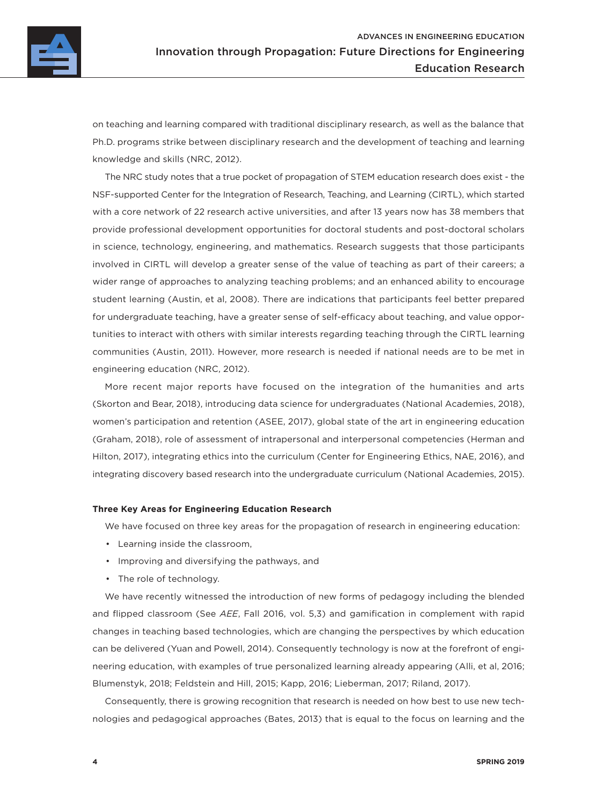

on teaching and learning compared with traditional disciplinary research, as well as the balance that Ph.D. programs strike between disciplinary research and the development of teaching and learning knowledge and skills (NRC, 2012).

The NRC study notes that a true pocket of propagation of STEM education research does exist - the NSF-supported Center for the Integration of Research, Teaching, and Learning (CIRTL), which started with a core network of 22 research active universities, and after 13 years now has 38 members that provide professional development opportunities for doctoral students and post-doctoral scholars in science, technology, engineering, and mathematics. Research suggests that those participants involved in CIRTL will develop a greater sense of the value of teaching as part of their careers; a wider range of approaches to analyzing teaching problems; and an enhanced ability to encourage student learning (Austin, et al, 2008). There are indications that participants feel better prepared for undergraduate teaching, have a greater sense of self-efficacy about teaching, and value opportunities to interact with others with similar interests regarding teaching through the CIRTL learning communities (Austin, 2011). However, more research is needed if national needs are to be met in engineering education (NRC, 2012).

More recent major reports have focused on the integration of the humanities and arts (Skorton and Bear, 2018), introducing data science for undergraduates (National Academies, 2018), women's participation and retention (ASEE, 2017), global state of the art in engineering education (Graham, 2018), role of assessment of intrapersonal and interpersonal competencies (Herman and Hilton, 2017), integrating ethics into the curriculum (Center for Engineering Ethics, NAE, 2016), and integrating discovery based research into the undergraduate curriculum (National Academies, 2015).

# **Three Key Areas for Engineering Education Research**

We have focused on three key areas for the propagation of research in engineering education:

- Learning inside the classroom,
- Improving and diversifying the pathways, and
- The role of technology.

We have recently witnessed the introduction of new forms of pedagogy including the blended and flipped classroom (See *AEE*, Fall 2016, vol. 5,3) and gamification in complement with rapid changes in teaching based technologies, which are changing the perspectives by which education can be delivered (Yuan and Powell, 2014). Consequently technology is now at the forefront of engineering education, with examples of true personalized learning already appearing (Alli, et al, 2016; Blumenstyk, 2018; Feldstein and Hill, 2015; Kapp, 2016; Lieberman, 2017; Riland, 2017).

Consequently, there is growing recognition that research is needed on how best to use new technologies and pedagogical approaches (Bates, 2013) that is equal to the focus on learning and the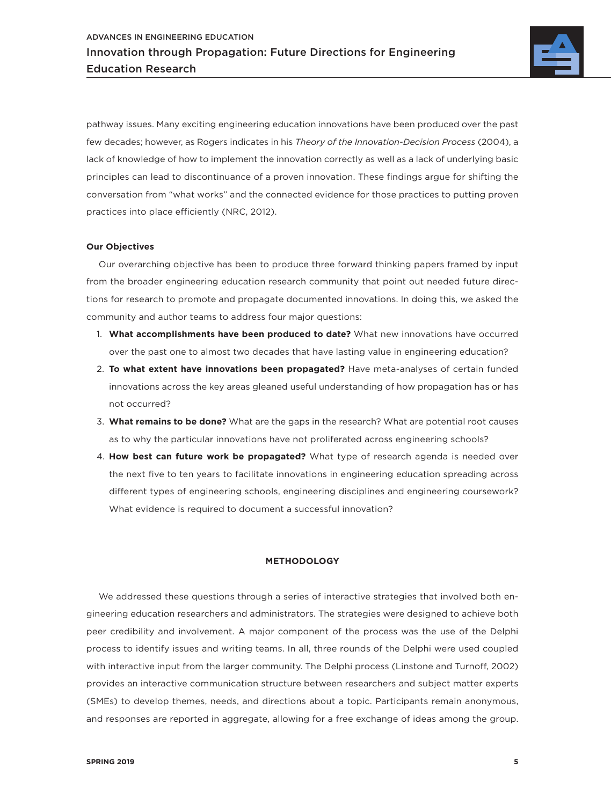

pathway issues. Many exciting engineering education innovations have been produced over the past few decades; however, as Rogers indicates in his *Theory of the Innovation-Decision Process* (2004), a lack of knowledge of how to implement the innovation correctly as well as a lack of underlying basic principles can lead to discontinuance of a proven innovation. These findings argue for shifting the conversation from "what works" and the connected evidence for those practices to putting proven practices into place efficiently (NRC, 2012).

## **Our Objectives**

Our overarching objective has been to produce three forward thinking papers framed by input from the broader engineering education research community that point out needed future directions for research to promote and propagate documented innovations. In doing this, we asked the community and author teams to address four major questions:

- 1. **What accomplishments have been produced to date?** What new innovations have occurred over the past one to almost two decades that have lasting value in engineering education?
- 2. **To what extent have innovations been propagated?** Have meta-analyses of certain funded innovations across the key areas gleaned useful understanding of how propagation has or has not occurred?
- 3. **What remains to be done?** What are the gaps in the research? What are potential root causes as to why the particular innovations have not proliferated across engineering schools?
- 4. **How best can future work be propagated?** What type of research agenda is needed over the next five to ten years to facilitate innovations in engineering education spreading across different types of engineering schools, engineering disciplines and engineering coursework? What evidence is required to document a successful innovation?

# **METHODOLOGY**

We addressed these questions through a series of interactive strategies that involved both engineering education researchers and administrators. The strategies were designed to achieve both peer credibility and involvement. A major component of the process was the use of the Delphi process to identify issues and writing teams. In all, three rounds of the Delphi were used coupled with interactive input from the larger community. The Delphi process (Linstone and Turnoff, 2002) provides an interactive communication structure between researchers and subject matter experts (SMEs) to develop themes, needs, and directions about a topic. Participants remain anonymous, and responses are reported in aggregate, allowing for a free exchange of ideas among the group.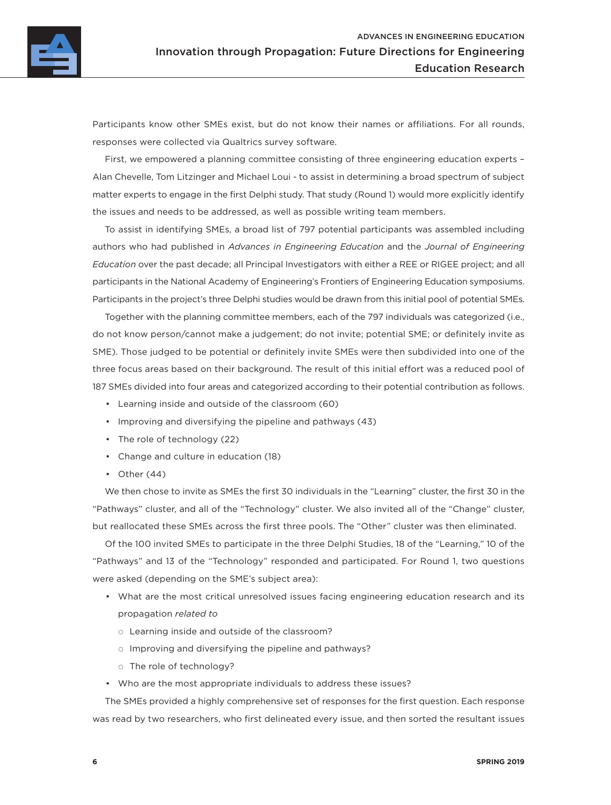Participants know other SMEs exist, but do not know their names or affiliations. For all rounds, responses were collected via Qualtrics survey software.

First, we empowered a planning committee consisting of three engineering education experts – Alan Chevelle, Tom Litzinger and Michael Loui - to assist in determining a broad spectrum of subject matter experts to engage in the first Delphi study. That study (Round 1) would more explicitly identify the issues and needs to be addressed, as well as possible writing team members.

To assist in identifying SMEs, a broad list of 797 potential participants was assembled including authors who had published in *Advances in Engineering Education* and the *Journal of Engineering Education* over the past decade; all Principal Investigators with either a REE or RIGEE project; and all participants in the National Academy of Engineering's Frontiers of Engineering Education symposiums. Participants in the project's three Delphi studies would be drawn from this initial pool of potential SMEs.

Together with the planning committee members, each of the 797 individuals was categorized (i.e., do not know person/cannot make a judgement; do not invite; potential SME; or definitely invite as SME). Those judged to be potential or definitely invite SMEs were then subdivided into one of the three focus areas based on their background. The result of this initial effort was a reduced pool of 187 SMEs divided into four areas and categorized according to their potential contribution as follows.

- Learning inside and outside of the classroom (60)
- Improving and diversifying the pipeline and pathways (43)
- The role of technology (22)
- Change and culture in education (18)
- Other  $(44)$

We then chose to invite as SMEs the first 30 individuals in the "Learning" cluster, the first 30 in the "Pathways" cluster, and all of the "Technology" cluster. We also invited all of the "Change" cluster, but reallocated these SMEs across the first three pools. The "Other" cluster was then eliminated.

Of the 100 invited SMEs to participate in the three Delphi Studies, 18 of the "Learning," 10 of the "Pathways" and 13 of the "Technology" responded and participated. For Round 1, two questions were asked (depending on the SME's subject area):

- What are the most critical unresolved issues facing engineering education research and its propagation *related to*
	- $\circ$  Learning inside and outside of the classroom?
	- $\circ$  Improving and diversifying the pipeline and pathways?
	- o The role of technology?
- Who are the most appropriate individuals to address these issues?

The SMEs provided a highly comprehensive set of responses for the first question. Each response was read by two researchers, who first delineated every issue, and then sorted the resultant issues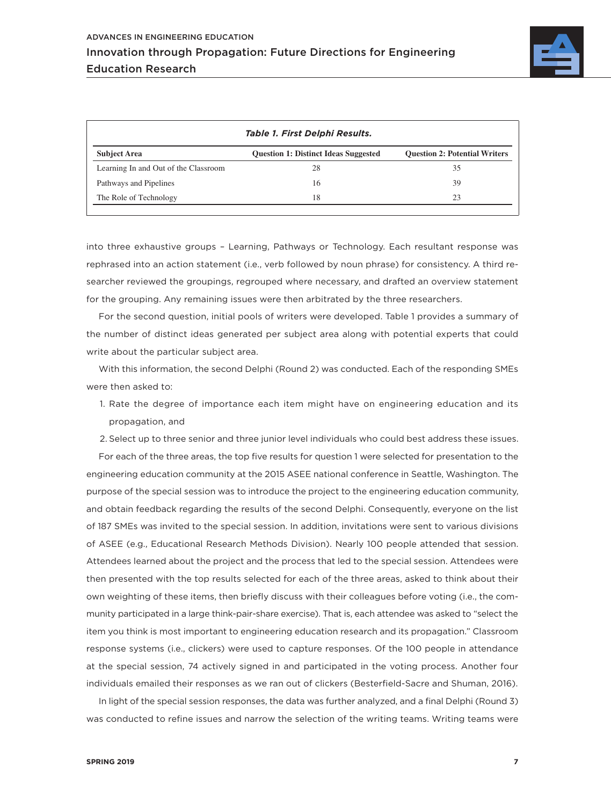

| Table 1. First Delphi Results.       |                                             |                                      |
|--------------------------------------|---------------------------------------------|--------------------------------------|
| <b>Subject Area</b>                  | <b>Question 1: Distinct Ideas Suggested</b> | <b>Question 2: Potential Writers</b> |
| Learning In and Out of the Classroom | 28                                          | 35                                   |
| Pathways and Pipelines               | 16                                          | 39                                   |
| The Role of Technology               | 18                                          | 23                                   |

into three exhaustive groups – Learning, Pathways or Technology. Each resultant response was rephrased into an action statement (i.e., verb followed by noun phrase) for consistency. A third researcher reviewed the groupings, regrouped where necessary, and drafted an overview statement for the grouping. Any remaining issues were then arbitrated by the three researchers.

For the second question, initial pools of writers were developed. Table 1 provides a summary of the number of distinct ideas generated per subject area along with potential experts that could write about the particular subject area.

With this information, the second Delphi (Round 2) was conducted. Each of the responding SMEs were then asked to:

- 1. Rate the degree of importance each item might have on engineering education and its propagation, and
- 2. Select up to three senior and three junior level individuals who could best address these issues.

For each of the three areas, the top five results for question 1 were selected for presentation to the engineering education community at the 2015 ASEE national conference in Seattle, Washington. The purpose of the special session was to introduce the project to the engineering education community, and obtain feedback regarding the results of the second Delphi. Consequently, everyone on the list of 187 SMEs was invited to the special session. In addition, invitations were sent to various divisions of ASEE (e.g., Educational Research Methods Division). Nearly 100 people attended that session. Attendees learned about the project and the process that led to the special session. Attendees were then presented with the top results selected for each of the three areas, asked to think about their own weighting of these items, then briefly discuss with their colleagues before voting (i.e., the community participated in a large think-pair-share exercise). That is, each attendee was asked to "select the item you think is most important to engineering education research and its propagation." Classroom response systems (i.e., clickers) were used to capture responses. Of the 100 people in attendance at the special session, 74 actively signed in and participated in the voting process. Another four individuals emailed their responses as we ran out of clickers (Besterfield-Sacre and Shuman, 2016).

In light of the special session responses, the data was further analyzed, and a final Delphi (Round 3) was conducted to refine issues and narrow the selection of the writing teams. Writing teams were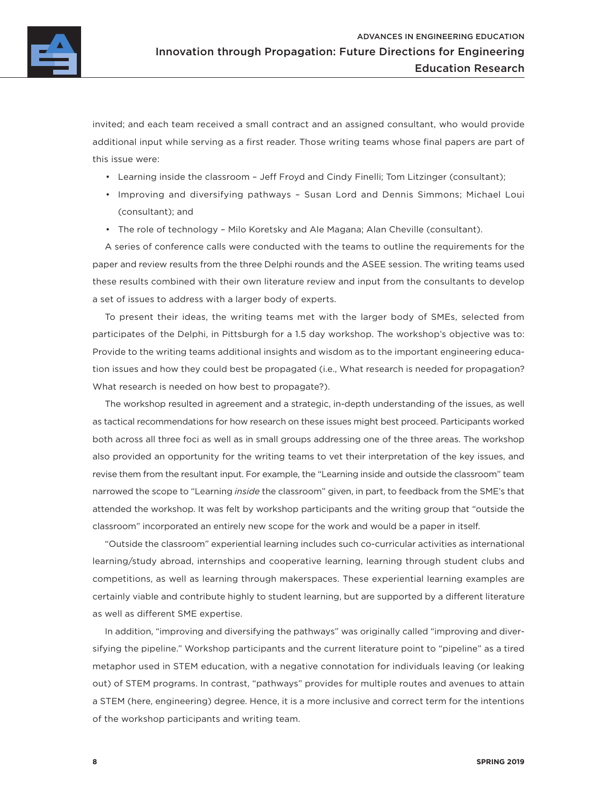

invited; and each team received a small contract and an assigned consultant, who would provide additional input while serving as a first reader. Those writing teams whose final papers are part of this issue were:

- Learning inside the classroom Jeff Froyd and Cindy Finelli; Tom Litzinger (consultant);
- Improving and diversifying pathways Susan Lord and Dennis Simmons; Michael Loui (consultant); and
- The role of technology Milo Koretsky and Ale Magana; Alan Cheville (consultant).

A series of conference calls were conducted with the teams to outline the requirements for the paper and review results from the three Delphi rounds and the ASEE session. The writing teams used these results combined with their own literature review and input from the consultants to develop a set of issues to address with a larger body of experts.

To present their ideas, the writing teams met with the larger body of SMEs, selected from participates of the Delphi, in Pittsburgh for a 1.5 day workshop. The workshop's objective was to: Provide to the writing teams additional insights and wisdom as to the important engineering education issues and how they could best be propagated (i.e., What research is needed for propagation? What research is needed on how best to propagate?).

The workshop resulted in agreement and a strategic, in-depth understanding of the issues, as well as tactical recommendations for how research on these issues might best proceed. Participants worked both across all three foci as well as in small groups addressing one of the three areas. The workshop also provided an opportunity for the writing teams to vet their interpretation of the key issues, and revise them from the resultant input. For example, the "Learning inside and outside the classroom" team narrowed the scope to "Learning *inside* the classroom" given, in part, to feedback from the SME's that attended the workshop. It was felt by workshop participants and the writing group that "outside the classroom" incorporated an entirely new scope for the work and would be a paper in itself.

"Outside the classroom" experiential learning includes such co-curricular activities as international learning/study abroad, internships and cooperative learning, learning through student clubs and competitions, as well as learning through makerspaces. These experiential learning examples are certainly viable and contribute highly to student learning, but are supported by a different literature as well as different SME expertise.

In addition, "improving and diversifying the pathways" was originally called "improving and diversifying the pipeline." Workshop participants and the current literature point to "pipeline" as a tired metaphor used in STEM education, with a negative connotation for individuals leaving (or leaking out) of STEM programs. In contrast, "pathways" provides for multiple routes and avenues to attain a STEM (here, engineering) degree. Hence, it is a more inclusive and correct term for the intentions of the workshop participants and writing team.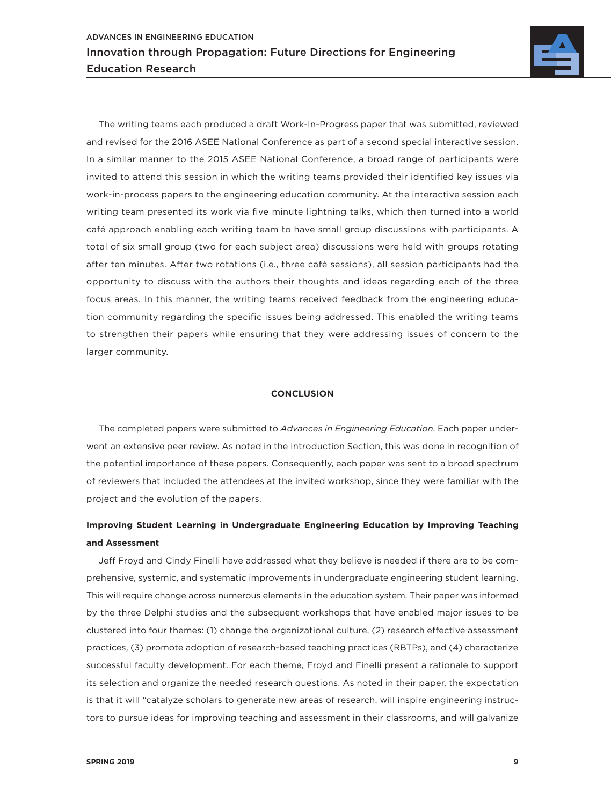

The writing teams each produced a draft Work-In-Progress paper that was submitted, reviewed and revised for the 2016 ASEE National Conference as part of a second special interactive session. In a similar manner to the 2015 ASEE National Conference, a broad range of participants were invited to attend this session in which the writing teams provided their identified key issues via work-in-process papers to the engineering education community. At the interactive session each writing team presented its work via five minute lightning talks, which then turned into a world café approach enabling each writing team to have small group discussions with participants. A total of six small group (two for each subject area) discussions were held with groups rotating after ten minutes. After two rotations (i.e., three café sessions), all session participants had the opportunity to discuss with the authors their thoughts and ideas regarding each of the three focus areas. In this manner, the writing teams received feedback from the engineering education community regarding the specific issues being addressed. This enabled the writing teams to strengthen their papers while ensuring that they were addressing issues of concern to the larger community.

#### **CONCLUSION**

The completed papers were submitted to *Advances in Engineering Education*. Each paper underwent an extensive peer review. As noted in the Introduction Section, this was done in recognition of the potential importance of these papers. Consequently, each paper was sent to a broad spectrum of reviewers that included the attendees at the invited workshop, since they were familiar with the project and the evolution of the papers.

# **Improving Student Learning in Undergraduate Engineering Education by Improving Teaching and Assessment**

Jeff Froyd and Cindy Finelli have addressed what they believe is needed if there are to be comprehensive, systemic, and systematic improvements in undergraduate engineering student learning. This will require change across numerous elements in the education system. Their paper was informed by the three Delphi studies and the subsequent workshops that have enabled major issues to be clustered into four themes: (1) change the organizational culture, (2) research effective assessment practices, (3) promote adoption of research-based teaching practices (RBTPs), and (4) characterize successful faculty development. For each theme, Froyd and Finelli present a rationale to support its selection and organize the needed research questions. As noted in their paper, the expectation is that it will "catalyze scholars to generate new areas of research, will inspire engineering instructors to pursue ideas for improving teaching and assessment in their classrooms, and will galvanize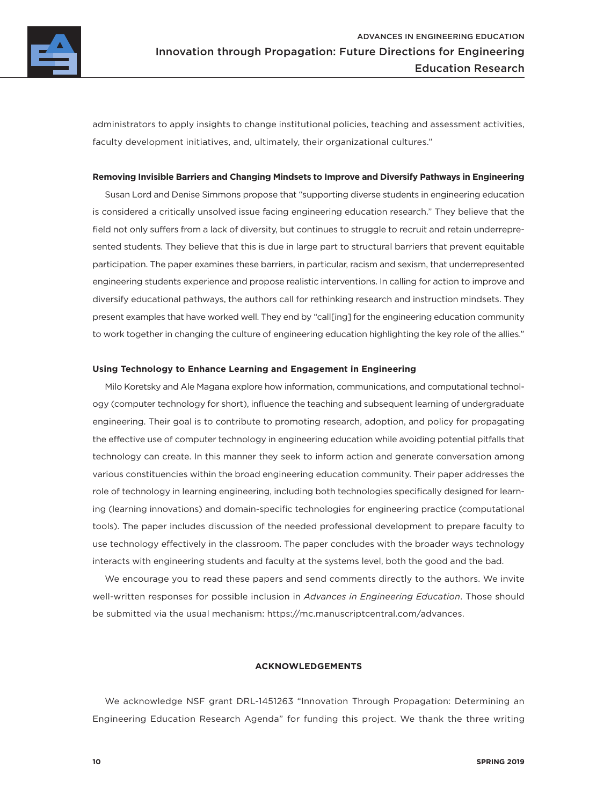

administrators to apply insights to change institutional policies, teaching and assessment activities, faculty development initiatives, and, ultimately, their organizational cultures."

# **Removing Invisible Barriers and Changing Mindsets to Improve and Diversify Pathways in Engineering**

Susan Lord and Denise Simmons propose that "supporting diverse students in engineering education is considered a critically unsolved issue facing engineering education research." They believe that the field not only suffers from a lack of diversity, but continues to struggle to recruit and retain underrepresented students. They believe that this is due in large part to structural barriers that prevent equitable participation. The paper examines these barriers, in particular, racism and sexism, that underrepresented engineering students experience and propose realistic interventions. In calling for action to improve and diversify educational pathways, the authors call for rethinking research and instruction mindsets. They present examples that have worked well. They end by "call[ing] for the engineering education community to work together in changing the culture of engineering education highlighting the key role of the allies."

#### **Using Technology to Enhance Learning and Engagement in Engineering**

Milo Koretsky and Ale Magana explore how information, communications, and computational technology (computer technology for short), influence the teaching and subsequent learning of undergraduate engineering. Their goal is to contribute to promoting research, adoption, and policy for propagating the effective use of computer technology in engineering education while avoiding potential pitfalls that technology can create. In this manner they seek to inform action and generate conversation among various constituencies within the broad engineering education community. Their paper addresses the role of technology in learning engineering, including both technologies specifically designed for learning (learning innovations) and domain-specific technologies for engineering practice (computational tools). The paper includes discussion of the needed professional development to prepare faculty to use technology effectively in the classroom. The paper concludes with the broader ways technology interacts with engineering students and faculty at the systems level, both the good and the bad.

We encourage you to read these papers and send comments directly to the authors. We invite well-written responses for possible inclusion in *Advances in Engineering Education*. Those should be submitted via the usual mechanism: <https://mc.manuscriptcentral.com/advances>.

# **ACKNOWLEDGEMENTS**

We acknowledge NSF grant DRL-1451263 "Innovation Through Propagation: Determining an Engineering Education Research Agenda" for funding this project. We thank the three writing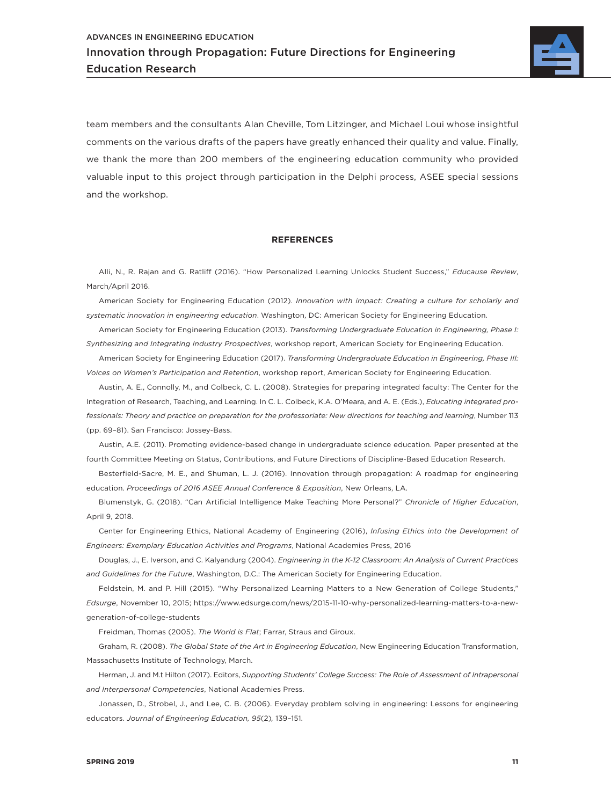

team members and the consultants Alan Cheville, Tom Litzinger, and Michael Loui whose insightful comments on the various drafts of the papers have greatly enhanced their quality and value. Finally, we thank the more than 200 members of the engineering education community who provided valuable input to this project through participation in the Delphi process, ASEE special sessions and the workshop.

## **REFERENCES**

Alli, N., R. Rajan and G. Ratliff (2016). "How Personalized Learning Unlocks Student Success," *Educause Review*, March/April 2016.

American Society for Engineering Education (2012). *Innovation with impact: Creating a culture for scholarly and systematic innovation in engineering education*. Washington, DC: American Society for Engineering Education.

American Society for Engineering Education (2013). *Transforming Undergraduate Education in Engineering, Phase I: Synthesizing and Integrating Industry Prospectives*, workshop report, American Society for Engineering Education.

American Society for Engineering Education (2017). *Transforming Undergraduate Education in Engineering, Phase III: Voices on Women's Participation and Retention*, workshop report, American Society for Engineering Education.

Austin, A. E., Connolly, M., and Colbeck, C. L. (2008). Strategies for preparing integrated faculty: The Center for the Integration of Research, Teaching, and Learning. In C. L. Colbeck, K.A. O'Meara, and A. E. (Eds.), *Educating integrated professionals: Theory and practice on preparation for the professoriate: New directions for teaching and learning*, Number 113 (pp. 69–81). San Francisco: Jossey-Bass.

Austin, A.E. (2011). Promoting evidence-based change in undergraduate science education. Paper presented at the fourth Committee Meeting on Status, Contributions, and Future Directions of Discipline-Based Education Research.

Besterfield-Sacre, M. E., and Shuman, L. J. (2016). Innovation through propagation: A roadmap for engineering education. *Proceedings of 2016 ASEE Annual Conference & Exposition*, New Orleans, LA.

Blumenstyk, G. (2018). "Can Artificial Intelligence Make Teaching More Personal?" *Chronicle of Higher Education*, April 9, 2018.

Center for Engineering Ethics, National Academy of Engineering (2016), *Infusing Ethics into the Development of Engineers: Exemplary Education Activities and Programs*, National Academies Press, 2016

Douglas, J., E. Iverson, and C. Kalyandurg (2004). *Engineering in the K-12 Classroom: An Analysis of Current Practices and Guidelines for the Future*, Washington, D.C.: The American Society for Engineering Education.

Feldstein, M. and P. Hill (2015). "Why Personalized Learning Matters to a New Generation of College Students," *Edsurge*, November 10, 2015; [https://www.edsurge.com/news/2015-11-10-why-personalized-learning-matters-to-a-new](https://www.edsurge.com/news/2015-11-10-why-personalized-learning-matters-to-a-new-generation-of-college-students)[generation-of-college-students](https://www.edsurge.com/news/2015-11-10-why-personalized-learning-matters-to-a-new-generation-of-college-students)

Freidman, Thomas (2005). *The World is Flat*; Farrar, Straus and Giroux.

Graham, R. (2008). *The Global State of the Art in Engineering Education*, New Engineering Education Transformation, Massachusetts Institute of Technology, March.

Herman, J. and M.t Hilton (2017). Editors, *Supporting Students' College Success: The Role of Assessment of Intrapersonal and Interpersonal Competencies*, National Academies Press.

Jonassen, D., Strobel, J., and Lee, C. B. (2006). Everyday problem solving in engineering: Lessons for engineering educators. *Journal of Engineering Education, 95*(2)*,* 139–151.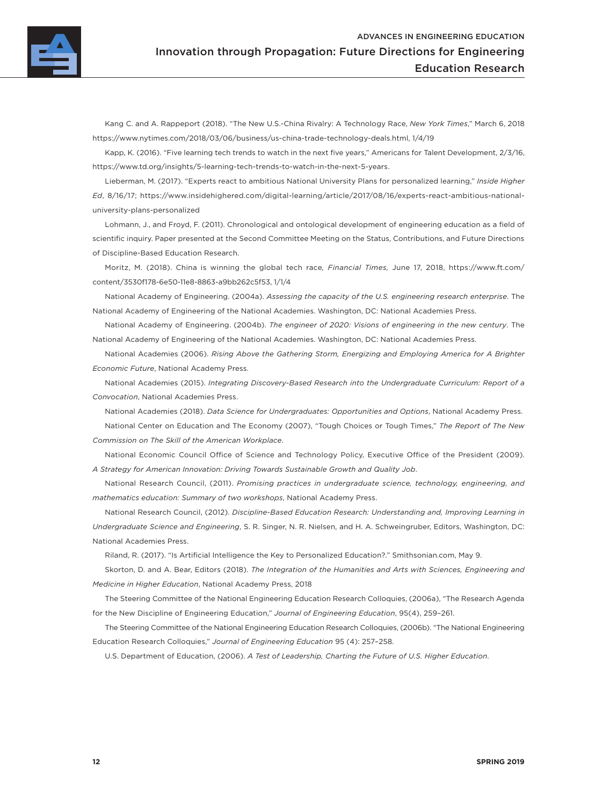

[Kang](http://www.nytimes.com/by/cecilia-kang) C. and [A. Rappeport](https://www.nytimes.com/by/alan-rappeport) (2018). "The New U.S.-China Rivalry: A Technology Race, *New York Times*," March 6, 2018 <https://www.nytimes.com/2018/03/06/business/us-china-trade-technology-deals.html>, 1/4/19

Kapp, K. (2016). "Five learning tech trends to watch in the next five years," Americans for Talent Development, 2/3/16, https://www.td.org/insights/5-learning-tech-trends-to-watch-in-the-next-5-years.

Lieberman, M. (2017). "Experts react to ambitious National University Plans for personalized learning," *Inside Higher Ed*, 8/16/17; https://www.insidehighered.com/digital-learning/article/2017/08/16/experts-react-ambitious-nationaluniversity-plans-personalized

Lohmann, J., and Froyd, F. (2011). Chronological and ontological development of engineering education as a field of scientific inquiry. Paper presented at the Second Committee Meeting on the Status, Contributions, and Future Directions of Discipline-Based Education Research.

Moritz, M. (2018). China is winning the global tech race*, Financial Times,* June 17, 2018, [https://www.ft.com/](https://www.ft.com/content/3530f178-6e50-11e8-8863-a9bb262c5f53) [content/3530f178-6e50-11e8-8863-a9bb262c5f53,](https://www.ft.com/content/3530f178-6e50-11e8-8863-a9bb262c5f53) 1/1/4

National Academy of Engineering. (2004a). *Assessing the capacity of the U.S. engineering research enterprise*. The National Academy of Engineering of the National Academies. Washington, DC: National Academies Press.

National Academy of Engineering. (2004b). *The engineer of 2020: Visions of engineering in the new century*. The National Academy of Engineering of the National Academies. Washington, DC: National Academies Press.

National Academies (2006). *Rising Above the Gathering Storm, Energizing and Employing America for A Brighter Economic Future*, National Academy Press.

National Academies (2015). *Integrating Discovery-Based Research into the Undergraduate Curriculum: Report of a Convocation*, National Academies Press.

National Academies (2018). *Data Science for Undergraduates: Opportunities and Options*, National Academy Press. National Center on Education and The Economy (2007), "Tough Choices or Tough Times," *The Report of The New Commission on The Skill of the American Workplace*.

National Economic Council Office of Science and Technology Policy, Executive Office of the President (2009). *A Strategy for American Innovation: Driving Towards Sustainable Growth and Quality Job*.

National Research Council, (2011). *Promising practices in undergraduate science, technology, engineering, and mathematics education: Summary of two workshops*, National Academy Press.

National Research Council, (2012). *Discipline-Based Education Research: Understanding and, Improving Learning in Undergraduate Science and Engineering*, S. R. Singer, N. R. Nielsen, and H. A. Schweingruber, Editors, Washington, DC: National Academies Press.

Riland, R. (2017). "Is Artificial Intelligence the Key to Personalized Education?." Smithsonian.com, May 9.

Skorton, D. and A. Bear, Editors (2018). *The Integration of the Humanities and Arts with Sciences, Engineering and Medicine in Higher Education*, National Academy Press, 2018

The Steering Committee of the National Engineering Education Research Colloquies, (2006a), "The Research Agenda for the New Discipline of Engineering Education," *Journal of Engineering Education*, 95(4), 259–261.

The Steering Committee of the National Engineering Education Research Colloquies, (2006b). "The National Engineering Education Research Colloquies," *Journal of Engineering Education* 95 (4): 257–258.

U.S. Department of Education, (2006). *A Test of Leadership, Charting the Future of U.S. Higher Education*.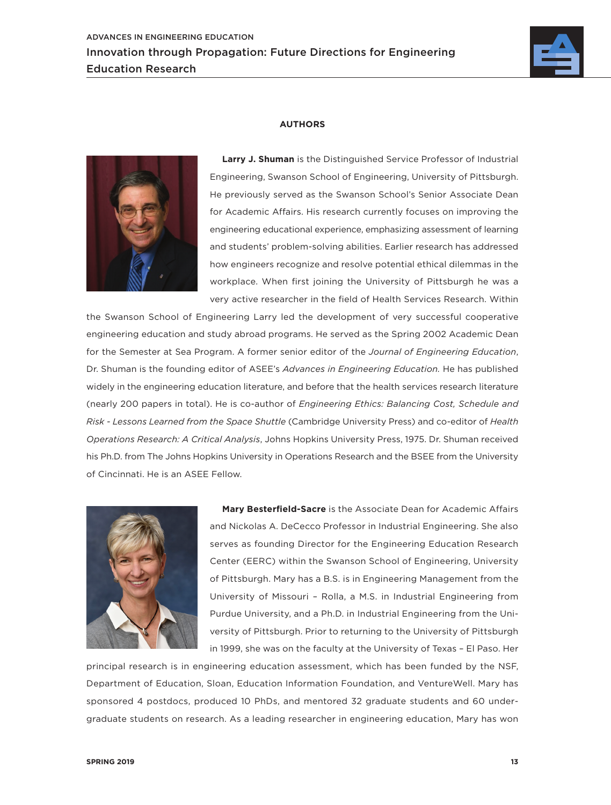



# **AUTHORS**

**Larry J. Shuman** is the Distinguished Service Professor of Industrial Engineering, Swanson School of Engineering, University of Pittsburgh. He previously served as the Swanson School's Senior Associate Dean for Academic Affairs. His research currently focuses on improving the engineering educational experience, emphasizing assessment of learning and students' problem-solving abilities. Earlier research has addressed how engineers recognize and resolve potential ethical dilemmas in the workplace. When first joining the University of Pittsburgh he was a very active researcher in the field of Health Services Research. Within

the Swanson School of Engineering Larry led the development of very successful cooperative engineering education and study abroad programs. He served as the Spring 2002 Academic Dean for the Semester at Sea Program. A former senior editor of the *Journal of Engineering Education*, Dr. Shuman is the founding editor of ASEE's *Advances in Engineering Education.* He has published widely in the engineering education literature, and before that the health services research literature (nearly 200 papers in total). He is co-author of *Engineering Ethics: Balancing Cost, Schedule and Risk - Lessons Learned from the Space Shuttle* (Cambridge University Press) and co-editor of *Health Operations Research: A Critical Analysis*, Johns Hopkins University Press, 1975. Dr. Shuman received his Ph.D. from The Johns Hopkins University in Operations Research and the BSEE from the University of Cincinnati. He is an ASEE Fellow.



**Mary Besterfield-Sacre** is the Associate Dean for Academic Affairs and Nickolas A. DeCecco Professor in Industrial Engineering. She also serves as founding Director for the Engineering Education Research Center (EERC) within the Swanson School of Engineering, University of Pittsburgh. Mary has a B.S. is in Engineering Management from the University of Missouri – Rolla, a M.S. in Industrial Engineering from Purdue University, and a Ph.D. in Industrial Engineering from the University of Pittsburgh. Prior to returning to the University of Pittsburgh in 1999, she was on the faculty at the University of Texas – El Paso. Her

principal research is in engineering education assessment, which has been funded by the NSF, Department of Education, Sloan, Education Information Foundation, and VentureWell. Mary has sponsored 4 postdocs, produced 10 PhDs, and mentored 32 graduate students and 60 undergraduate students on research. As a leading researcher in engineering education, Mary has won